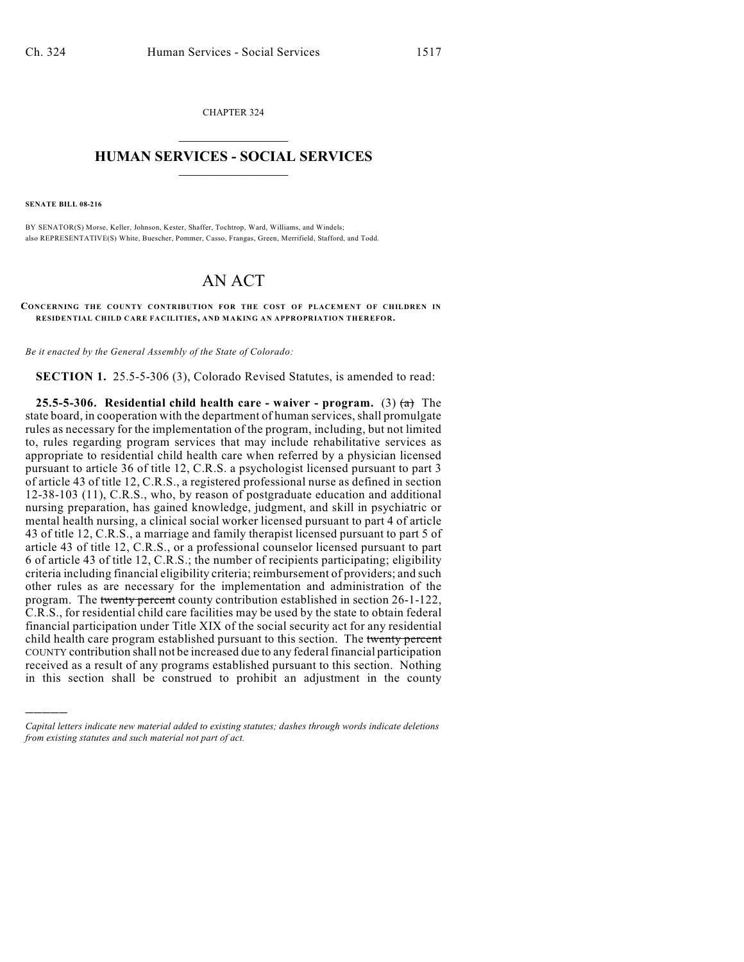CHAPTER 324  $\overline{\phantom{a}}$  . The set of the set of the set of the set of the set of the set of the set of the set of the set of the set of the set of the set of the set of the set of the set of the set of the set of the set of the set o

## **HUMAN SERVICES - SOCIAL SERVICES**  $\frac{1}{2}$  ,  $\frac{1}{2}$  ,  $\frac{1}{2}$  ,  $\frac{1}{2}$  ,  $\frac{1}{2}$  ,  $\frac{1}{2}$  ,  $\frac{1}{2}$

**SENATE BILL 08-216**

)))))

BY SENATOR(S) Morse, Keller, Johnson, Kester, Shaffer, Tochtrop, Ward, Williams, and Windels; also REPRESENTATIVE(S) White, Buescher, Pommer, Casso, Frangas, Green, Merrifield, Stafford, and Todd.

## AN ACT

**CONCERNING THE COUNTY CONTRIBUTION FOR THE COST OF PLACEMENT OF CHILDREN IN RESIDENTIAL CHILD CARE FACILITIES, AND MAKING AN APPROPRIATION THEREFOR.**

*Be it enacted by the General Assembly of the State of Colorado:*

**SECTION 1.** 25.5-5-306 (3), Colorado Revised Statutes, is amended to read:

**25.5-5-306. Residential child health care - waiver - program.** (3)  $\left(\frac{a}{b}\right)$  The state board, in cooperation with the department of human services, shall promulgate rules as necessary for the implementation of the program, including, but not limited to, rules regarding program services that may include rehabilitative services as appropriate to residential child health care when referred by a physician licensed pursuant to article 36 of title 12, C.R.S. a psychologist licensed pursuant to part 3 of article 43 of title 12, C.R.S., a registered professional nurse as defined in section 12-38-103 (11), C.R.S., who, by reason of postgraduate education and additional nursing preparation, has gained knowledge, judgment, and skill in psychiatric or mental health nursing, a clinical social worker licensed pursuant to part 4 of article 43 of title 12, C.R.S., a marriage and family therapist licensed pursuant to part 5 of article 43 of title 12, C.R.S., or a professional counselor licensed pursuant to part 6 of article 43 of title 12, C.R.S.; the number of recipients participating; eligibility criteria including financial eligibility criteria; reimbursement of providers; and such other rules as are necessary for the implementation and administration of the program. The twenty percent county contribution established in section 26-1-122, C.R.S., for residential child care facilities may be used by the state to obtain federal financial participation under Title XIX of the social security act for any residential child health care program established pursuant to this section. The twenty percent COUNTY contribution shall not be increased due to any federal financial participation received as a result of any programs established pursuant to this section. Nothing in this section shall be construed to prohibit an adjustment in the county

*Capital letters indicate new material added to existing statutes; dashes through words indicate deletions from existing statutes and such material not part of act.*